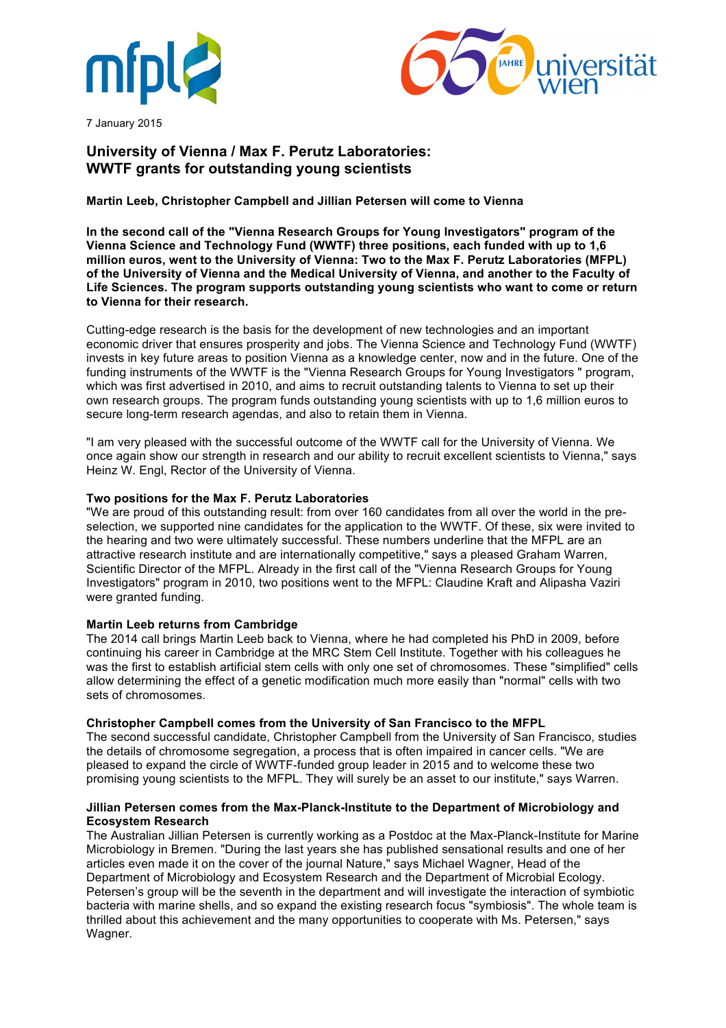



7 January 2015

# **University of Vienna / Max F. Perutz Laboratories: WWTF grants for outstanding young scientists**

# **Martin Leeb, Christopher Campbell and Jillian Petersen will come to Vienna**

**In the second call of the "Vienna Research Groups for Young Investigators" program of the Vienna Science and Technology Fund (WWTF) three positions, each funded with up to 1,6 million euros, went to the University of Vienna: Two to the Max F. Perutz Laboratories (MFPL) of the University of Vienna and the Medical University of Vienna, and another to the Faculty of Life Sciences. The program supports outstanding young scientists who want to come or return to Vienna for their research.**

Cutting-edge research is the basis for the development of new technologies and an important economic driver that ensures prosperity and jobs. The Vienna Science and Technology Fund (WWTF) invests in key future areas to position Vienna as a knowledge center, now and in the future. One of the funding instruments of the WWTF is the "Vienna Research Groups for Young Investigators " program, which was first advertised in 2010, and aims to recruit outstanding talents to Vienna to set up their own research groups. The program funds outstanding young scientists with up to 1,6 million euros to secure long-term research agendas, and also to retain them in Vienna.

"I am very pleased with the successful outcome of the WWTF call for the University of Vienna. We once again show our strength in research and our ability to recruit excellent scientists to Vienna," says Heinz W. Engl, Rector of the University of Vienna.

## **Two positions for the Max F. Perutz Laboratories**

"We are proud of this outstanding result: from over 160 candidates from all over the world in the preselection, we supported nine candidates for the application to the WWTF. Of these, six were invited to the hearing and two were ultimately successful. These numbers underline that the MFPL are an attractive research institute and are internationally competitive," says a pleased Graham Warren, Scientific Director of the MFPL. Already in the first call of the "Vienna Research Groups for Young Investigators" program in 2010, two positions went to the MFPL: Claudine Kraft and Alipasha Vaziri were granted funding.

## **Martin Leeb returns from Cambridge**

The 2014 call brings Martin Leeb back to Vienna, where he had completed his PhD in 2009, before continuing his career in Cambridge at the MRC Stem Cell Institute. Together with his colleagues he was the first to establish artificial stem cells with only one set of chromosomes. These "simplified" cells allow determining the effect of a genetic modification much more easily than "normal" cells with two sets of chromosomes.

## **Christopher Campbell comes from the University of San Francisco to the MFPL**

The second successful candidate, Christopher Campbell from the University of San Francisco, studies the details of chromosome segregation, a process that is often impaired in cancer cells. "We are pleased to expand the circle of WWTF-funded group leader in 2015 and to welcome these two promising young scientists to the MFPL. They will surely be an asset to our institute," says Warren.

## **Jillian Petersen comes from the Max-Planck-Institute to the Department of Microbiology and Ecosystem Research**

The Australian Jillian Petersen is currently working as a Postdoc at the Max-Planck-Institute for Marine Microbiology in Bremen. "During the last years she has published sensational results and one of her articles even made it on the cover of the journal Nature," says Michael Wagner, Head of the Department of Microbiology and Ecosystem Research and the Department of Microbial Ecology. Petersen's group will be the seventh in the department and will investigate the interaction of symbiotic bacteria with marine shells, and so expand the existing research focus "symbiosis". The whole team is thrilled about this achievement and the many opportunities to cooperate with Ms. Petersen," says Wagner.